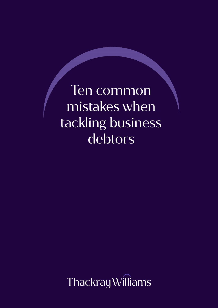Ten common mistakes when tackling business debtors

Thackray Williams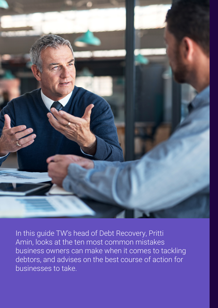

In this guide TW's head of Debt Recovery, Pritti Amin, looks at the ten most common mistakes business owners can make when it comes to tackling debtors, and advises on the best course of action for businesses to take.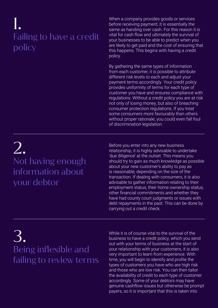## 1. Failing to have a credit policy

When a company provides goods or services before receiving payment, it is essentially the same as handing over cash. For this reason it is vital for cash flow and ultimately the survival of your businesses to be able to predict when you are likely to get paid and the cost of ensuring that this happens. This begins with having a credit policy.

By gathering the same types of information from each customer, it is possible to attribute different risk levels to each and adjust your payment terms accordingly. Your credit policy provides uniformity of terms for each type of customer you have and ensures compliance with regulations. Without a credit policy you are at risk not only of losing money, but also of breaching consumer protection regulations. If you treat some consumers more favourably than others without proper rationale, you could even fall foul of discrimination legislation.

## 2. Not having enough information about your debtor

Before you enter into any new business relationship, it is highly advisable to undertake 'due diligence' at the outset. This means you should try to gain as much knowledge as possible about your new customer's ability to pay as is reasonable, depending on the size of the transaction. If dealing with consumers, it is also advisable to gather information relating to their employment status, their home ownership status, other financial commitments and whether they have had county court judgments or issues with debt repayments in the past. This can be done by carrying out a credit check.

## 3. Being inflexible and failing to review terms

While it is of course vital to the survival of the business to have a credit policy, which you send out with your terms of business at the start of your relationship with your customers, it is also very important to learn from experience. With time, you will begin to identify and profile the types of customers you have who are high risk and those who are low risk. You can then tailor the availability of credit to each type of customer accordingly. Some of your debtors may have genuine cashflow issues but otherwise be prompt payers, so it is important that this is taken into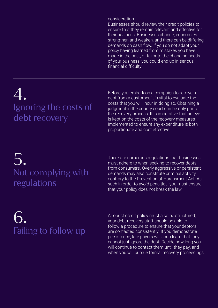consideration.

Businesses should review their credit policies to ensure that they remain relevant and effective for their business. Businesses change, economies strengthen and weaken, and there can be differing demands on cash flow. If you do not adapt your policy having learned from mistakes you have made in the past, or tailor to the changing needs of your business, you could end up in serious financial difficulty.

# 4. Ignoring the costs of debt recovery

Before you embark on a campaign to recover a debt from a customer, it is vital to evaluate the costs that you will incur in doing so. Obtaining a judgment in the county court can be only part of the recovery process. It is imperative that an eye is kept on the costs of the recovery measures implemented to ensure any expenditure is both proportionate and cost effective.

# 5. Not complying with regulations

There are numerous regulations that businesses must adhere to when seeking to recover debts from consumers. Overly aggressive or persistent demands may also constitute criminal activity contrary to the Prevention of Harassment Act. As such in order to avoid penalties, you must ensure that your policy does not break the law.

# 6. Failing to follow up

A robust credit policy must also be structured; your debt recovery staff should be able to follow a procedure to ensure that your debtors are contacted consistently. If you demonstrate persistence, late payers will soon learn that they cannot just ignore the debt. Decide how long you will continue to contact them until they pay, and when you will pursue formal recovery proceedings.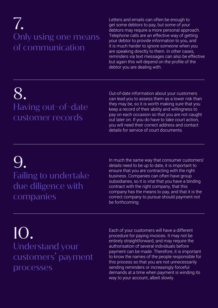## 7. Only using one means of communication

Letters and emails can often be enough to get some debtors to pay, but some of your debtors may require a more personal approach. Telephone calls are an effective way of getting your debtor to provide information to you, and it is much harder to ignore someone when you are speaking directly to them. In other cases, reminders via text messages can also be effective but again this will depend on the profile of the debtor you are dealing with.

## 8. Having out-of-date customer records

Out-of-date information about your customers can lead you to assess them as a lower risk than they may be, so it is worth making sure that you keep a record of their ability and willingness to pay on each occasion so that you are not caught out later on. If you do have to take court action, you will need their correct address and contact details for service of court documents.

### 9. Failing to undertake due diligence with companies

In much the same way that consumer customers' details need to be up to date, it is important to ensure that you are contracting with the right business. Companies can often have group subsidiaries, so it is vital that you have a binding contract with the right company, that this company has the means to pay, and that it is the correct company to pursue should payment not be forthcoming.

#### 10. Understand your customers' payment processes

Each of your customers will have a different procedure for paying invoices. It may not be entirely straightforward, and may require the authorisation of several individuals before payment can be made. Therefore, it is important to know the names of the people responsible for this process so that you are not unnecessarily sending reminders or increasingly forceful demands at a time when payment is winding its way to your account, albeit slowly.